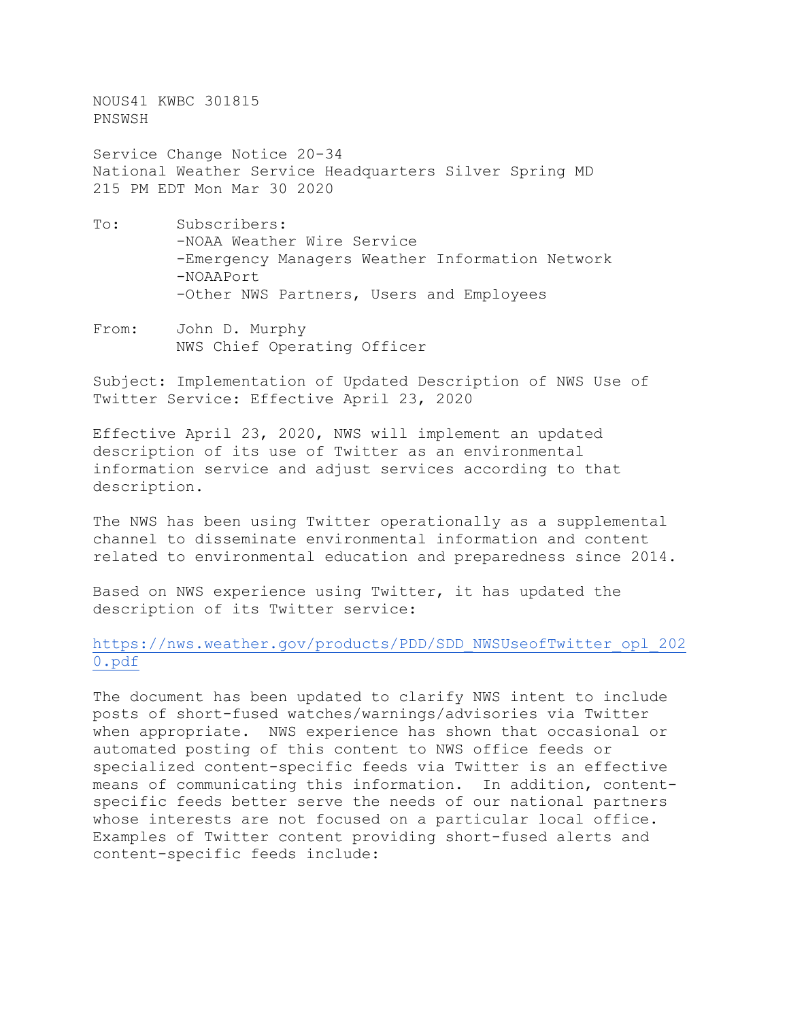NOUS41 KWBC 301815 PNSWSH

Service Change Notice 20-34 National Weather Service Headquarters Silver Spring MD 215 PM EDT Mon Mar 30 2020

- To: Subscribers: -NOAA Weather Wire Service -Emergency Managers Weather Information Network -NOAAPort -Other NWS Partners, Users and Employees
- From: John D. Murphy NWS Chief Operating Officer

Subject: Implementation of Updated Description of NWS Use of Twitter Service: Effective April 23, 2020

Effective April 23, 2020, NWS will implement an updated description of its use of Twitter as an environmental information service and adjust services according to that description.

The NWS has been using Twitter operationally as a supplemental channel to disseminate environmental information and content related to environmental education and preparedness since 2014.

Based on NWS experience using Twitter, it has updated the description of its Twitter service:

[https://nws.weather.gov/products/PDD/SDD\\_NWSUseofTwitter\\_opl\\_202](https://nws.weather.gov/products/PDD/SDD_NWSUseofTwitter_opl_2020.pdf) [0.pdf](https://nws.weather.gov/products/PDD/SDD_NWSUseofTwitter_opl_2020.pdf)

The document has been updated to clarify NWS intent to include posts of short-fused watches/warnings/advisories via Twitter when appropriate. NWS experience has shown that occasional or automated posting of this content to NWS office feeds or specialized content-specific feeds via Twitter is an effective means of communicating this information. In addition, contentspecific feeds better serve the needs of our national partners whose interests are not focused on a particular local office. Examples of Twitter content providing short-fused alerts and content-specific feeds include: